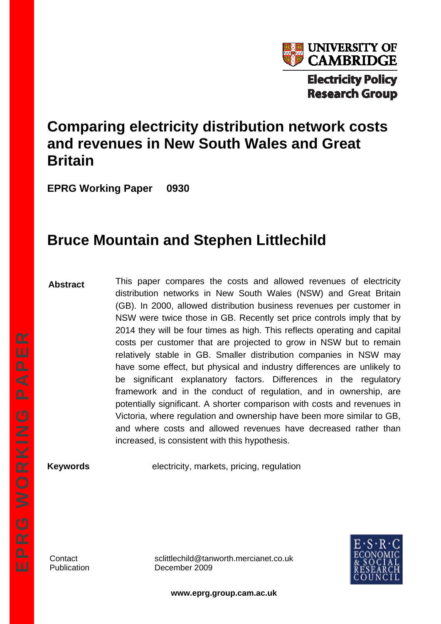

# **Comparing electricity distribution network costs and revenues in New South Wales and Great Britain**

**EPRG Working Paper 0930** 

# **Bruce Mountain and Stephen Littlechild**

**Abstract** 

This paper compares the costs and allowed revenues of electricity distribution networks in New South Wales (NSW) and Great Britain (GB). In 2000, allowed distribution business revenues per customer in NSW were twice those in GB. Recently set price controls imply that by 2014 they will be four times as high. This reflects operating and capital costs per customer that are projected to grow in NSW but to remain relatively stable in GB. Smaller distribution companies in NSW may have some effect, but physical and industry differences are unlikely to be significant explanatory factors. Differences in the regulatory framework and in the conduct of regulation, and in ownership, are potentially significant. A shorter comparison with costs and revenues in Victoria, where regulation and ownership have been more similar to GB, and where costs and allowed revenues have decreased rather than increased, is consistent with this hypothesis.

**Keywords** electricity, markets, pricing, regulation

Contact sclittlechild@tanworth.mercianet.co.uk Publication December 2009



**www.eprg.group.cam.ac.uk**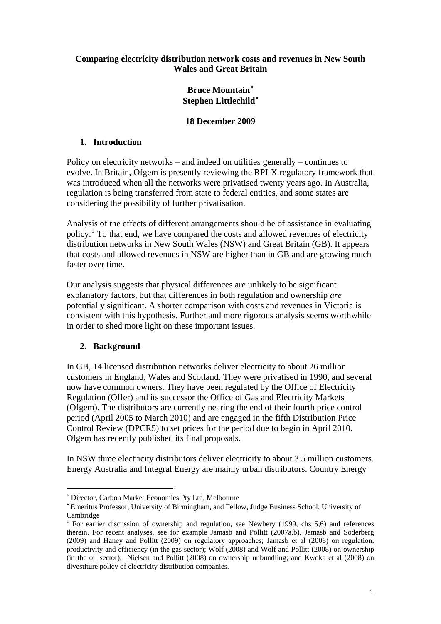#### **Comparing electricity distribution network costs and revenues in New South Wales and Great Britain**

# **Bruce Mountain**[∗](#page-1-0) **Stephen Littlechild**[•](#page-1-1)

## **18 December 2009**

# **1. Introduction**

Policy on electricity networks – and indeed on utilities generally – continues to evolve. In Britain, Ofgem is presently reviewing the RPI-X regulatory framework that was introduced when all the networks were privatised twenty years ago. In Australia, regulation is being transferred from state to federal entities, and some states are considering the possibility of further privatisation.

Analysis of the effects of different arrangements should be of assistance in evaluating policy.<sup>[1](#page-1-2)</sup> To that end, we have compared the costs and allowed revenues of electricity distribution networks in New South Wales (NSW) and Great Britain (GB). It appears that costs and allowed revenues in NSW are higher than in GB and are growing much faster over time.

Our analysis suggests that physical differences are unlikely to be significant explanatory factors, but that differences in both regulation and ownership *are* potentially significant. A shorter comparison with costs and revenues in Victoria is consistent with this hypothesis. Further and more rigorous analysis seems worthwhile in order to shed more light on these important issues.

# **2. Background**

1

In GB, 14 licensed distribution networks deliver electricity to about 26 million customers in England, Wales and Scotland. They were privatised in 1990, and several now have common owners. They have been regulated by the Office of Electricity Regulation (Offer) and its successor the Office of Gas and Electricity Markets (Ofgem). The distributors are currently nearing the end of their fourth price control period (April 2005 to March 2010) and are engaged in the fifth Distribution Price Control Review (DPCR5) to set prices for the period due to begin in April 2010. Ofgem has recently published its final proposals.

In NSW three electricity distributors deliver electricity to about 3.5 million customers. Energy Australia and Integral Energy are mainly urban distributors. Country Energy

<sup>∗</sup> Director, Carbon Market Economics Pty Ltd, Melbourne

<span id="page-1-1"></span><span id="page-1-0"></span><sup>•</sup> Emeritus Professor, University of Birmingham, and Fellow, Judge Business School, University of Cambridge

<span id="page-1-2"></span><sup>&</sup>lt;sup>1</sup> For earlier discussion of ownership and regulation, see Newbery (1999, chs 5,6) and references therein. For recent analyses, see for example Jamasb and Pollitt (2007a,b), Jamasb and Soderberg (2009) and Haney and Pollitt (2009) on regulatory approaches; Jamasb et al (2008) on regulation, productivity and efficiency (in the gas sector); Wolf (2008) and Wolf and Pollitt (2008) on ownership (in the oil sector); Nielsen and Pollitt (2008) on ownership unbundling; and Kwoka et al (2008) on divestiture policy of electricity distribution companies.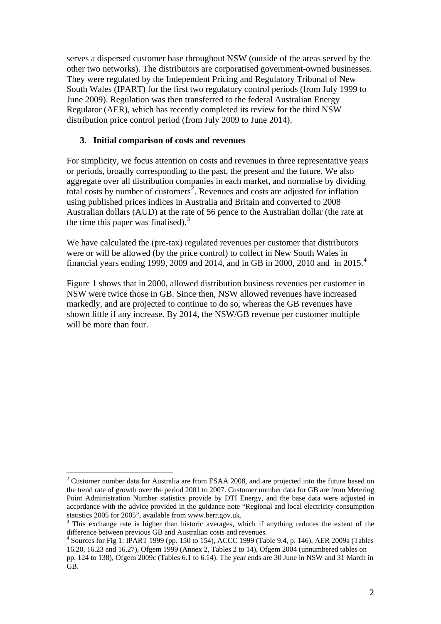serves a dispersed customer base throughout NSW (outside of the areas served by the other two networks). The distributors are corporatised government-owned businesses. They were regulated by the Independent Pricing and Regulatory Tribunal of New South Wales (IPART) for the first two regulatory control periods (from July 1999 to June 2009). Regulation was then transferred to the federal Australian Energy Regulator (AER), which has recently completed its review for the third NSW distribution price control period (from July 2009 to June 2014).

#### **3. Initial comparison of costs and revenues**

For simplicity, we focus attention on costs and revenues in three representative years or periods, broadly corresponding to the past, the present and the future. We also aggregate over all distribution companies in each market, and normalise by dividing total costs by number of customers<sup>[2](#page-2-0)</sup>. Revenues and costs are adjusted for inflation using published prices indices in Australia and Britain and converted to 2008 Australian dollars (AUD) at the rate of 56 pence to the Australian dollar (the rate at the time this paper was finalised). $3$ 

We have calculated the (pre-tax) regulated revenues per customer that distributors were or will be allowed (by the price control) to collect in New South Wales in financial years ending 1999, 2009 and 201[4](#page-2-2), and in GB in 2000, 2010 and in 2015.<sup>4</sup>

Figure 1 shows that in 2000, allowed distribution business revenues per customer in NSW were twice those in GB. Since then, NSW allowed revenues have increased markedly, and are projected to continue to do so, whereas the GB revenues have shown little if any increase. By 2014, the NSW/GB revenue per customer multiple will be more than four.

<span id="page-2-0"></span><sup>&</sup>lt;u>.</u>  $2^2$  Customer number data for Australia are from ESAA 2008, and are projected into the future based on the trend rate of growth over the period 2001 to 2007. Customer number data for GB are from Metering Point Administration Number statistics provide by DTI Energy, and the base data were adjusted in accordance with the advice provided in the guidance note "Regional and local electricity consumption statistics 2005 for 2005", available from www.berr.gov.uk.

<span id="page-2-1"></span><sup>&</sup>lt;sup>3</sup> This exchange rate is higher than historic averages, which if anything reduces the extent of the difference between previous GB and Australian costs and revenues.

<span id="page-2-2"></span><sup>4</sup> Sources for Fig 1: IPART 1999 (pp. 150 to 154), ACCC 1999 (Table 9.4, p. 146), AER 2009a (Tables 16.20, 16.23 and 16.27), Ofgem 1999 (Annex 2, Tables 2 to 14), Ofgem 2004 (unnumbered tables on

pp. 124 to 138), Ofgem 2009c (Tables 6.1 to 6.14). The year ends are 30 June in NSW and 31 March in GB.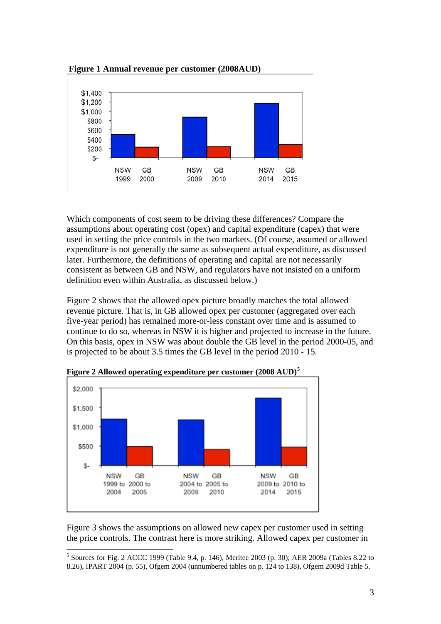

**Figure 1 Annual revenue per customer (2008AUD)** 

Which components of cost seem to be driving these differences? Compare the assumptions about operating cost (opex) and capital expenditure (capex) that were used in setting the price controls in the two markets. (Of course, assumed or allowed expenditure is not generally the same as subsequent actual expenditure, as discussed later. Furthermore, the definitions of operating and capital are not necessarily consistent as between GB and NSW, and regulators have not insisted on a uniform definition even within Australia, as discussed below.)

Figure 2 shows that the allowed opex picture broadly matches the total allowed revenue picture. That is, in GB allowed opex per customer (aggregated over each five-year period) has remained more-or-less constant over time and is assumed to continue to do so, whereas in NSW it is higher and projected to increase in the future. On this basis, opex in NSW was about double the GB level in the period 2000-05, and is projected to be about 3.5 times the GB level in the period 2010 - 15.



**Figure 2 Allowed operating expenditure per customer (2008 AUD)[5](#page-3-0)**

Figure 3 shows the assumptions on allowed new capex per customer used in setting the price controls. The contrast here is more striking. Allowed capex per customer in

<span id="page-3-0"></span><sup>&</sup>lt;u>.</u>  $5$  Sources for Fig. 2 ACCC 1999 (Table 9.4, p. 146), Meritec 2003 (p. 30); AER 2009a (Tables 8.22 to 8.26), IPART 2004 (p. 55), Ofgem 2004 (unnumbered tables on p. 124 to 138), Ofgem 2009d Table 5.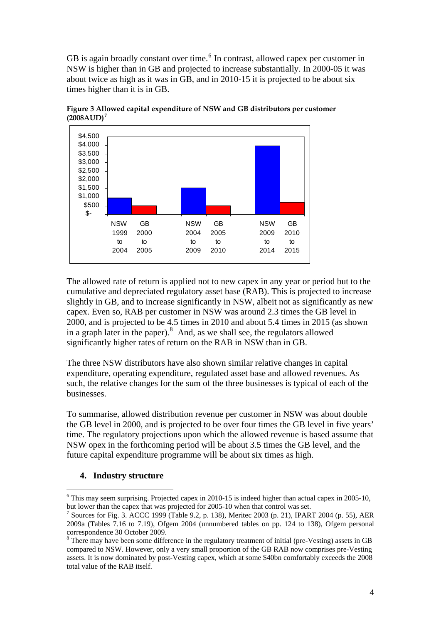GB is again broadly constant over time. $<sup>6</sup>$  $<sup>6</sup>$  $<sup>6</sup>$  In contrast, allowed capex per customer in</sup> NSW is higher than in GB and projected to increase substantially. In 2000-05 it was about twice as high as it was in GB, and in 2010-15 it is projected to be about six times higher than it is in GB.



**Figure 3 Allowed capital expenditure of NSW and GB distributors per customer (2008AUD)[7](#page-4-1)**

The allowed rate of return is applied not to new capex in any year or period but to the cumulative and depreciated regulatory asset base (RAB). This is projected to increase slightly in GB, and to increase significantly in NSW, albeit not as significantly as new capex. Even so, RAB per customer in NSW was around 2.3 times the GB level in 2000, and is projected to be 4.5 times in 2010 and about 5.4 times in 2015 (as shown in a graph later in the paper). $8$  And, as we shall see, the regulators allowed significantly higher rates of return on the RAB in NSW than in GB.

The three NSW distributors have also shown similar relative changes in capital expenditure, operating expenditure, regulated asset base and allowed revenues. As such, the relative changes for the sum of the three businesses is typical of each of the businesses.

To summarise, allowed distribution revenue per customer in NSW was about double the GB level in 2000, and is projected to be over four times the GB level in five years' time. The regulatory projections upon which the allowed revenue is based assume that NSW opex in the forthcoming period will be about 3.5 times the GB level, and the future capital expenditure programme will be about six times as high.

#### **4. Industry structure**

<span id="page-4-0"></span> $6$  This may seem surprising. Projected capex in 2010-15 is indeed higher than actual capex in 2005-10, but lower than the capex that was projected for 2005-10 when that control was set.

<span id="page-4-1"></span>Sources for Fig. 3. ACCC 1999 (Table 9.2, p. 138), Meritec 2003 (p. 21), IPART 2004 (p. 55), AER 2009a (Tables 7.16 to 7.19), Ofgem 2004 (unnumbered tables on pp. 124 to 138), Ofgem personal correspondence 30 October 2009.

<span id="page-4-2"></span><sup>&</sup>lt;sup>8</sup> There may have been some difference in the regulatory treatment of initial (pre-Vesting) assets in GB compared to NSW. However, only a very small proportion of the GB RAB now comprises pre-Vesting assets. It is now dominated by post-Vesting capex, which at some \$40bn comfortably exceeds the 2008 total value of the RAB itself.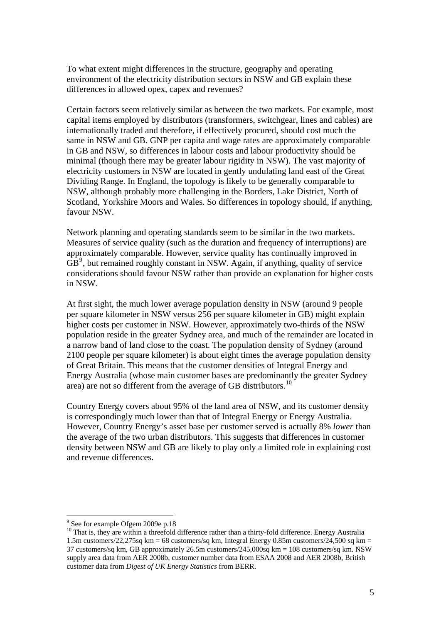To what extent might differences in the structure, geography and operating environment of the electricity distribution sectors in NSW and GB explain these differences in allowed opex, capex and revenues?

Certain factors seem relatively similar as between the two markets. For example, most capital items employed by distributors (transformers, switchgear, lines and cables) are internationally traded and therefore, if effectively procured, should cost much the same in NSW and GB. GNP per capita and wage rates are approximately comparable in GB and NSW, so differences in labour costs and labour productivity should be minimal (though there may be greater labour rigidity in NSW). The vast majority of electricity customers in NSW are located in gently undulating land east of the Great Dividing Range. In England, the topology is likely to be generally comparable to NSW, although probably more challenging in the Borders, Lake District, North of Scotland, Yorkshire Moors and Wales. So differences in topology should, if anything, favour NSW.

Network planning and operating standards seem to be similar in the two markets. Measures of service quality (such as the duration and frequency of interruptions) are approximately comparable. However, service quality has continually improved in  $\overrightarrow{GB}^9$  $\overrightarrow{GB}^9$ , but remained roughly constant in NSW. Again, if anything, quality of service considerations should favour NSW rather than provide an explanation for higher costs in NSW.

At first sight, the much lower average population density in NSW (around 9 people per square kilometer in NSW versus 256 per square kilometer in GB) might explain higher costs per customer in NSW. However, approximately two-thirds of the NSW population reside in the greater Sydney area, and much of the remainder are located in a narrow band of land close to the coast. The population density of Sydney (around 2100 people per square kilometer) is about eight times the average population density of Great Britain. This means that the customer densities of Integral Energy and Energy Australia (whose main customer bases are predominantly the greater Sydney area) are not so different from the average of GB distributors.<sup>[10](#page-5-1)</sup>

Country Energy covers about 95% of the land area of NSW, and its customer density is correspondingly much lower than that of Integral Energy or Energy Australia. However, Country Energy's asset base per customer served is actually 8% *lower* than the average of the two urban distributors. This suggests that differences in customer density between NSW and GB are likely to play only a limited role in explaining cost and revenue differences.

<sup>&</sup>lt;sup>9</sup> See for example Ofgem 2009e p.18

<span id="page-5-1"></span><span id="page-5-0"></span><sup>&</sup>lt;sup>10</sup> That is, they are within a threefold difference rather than a thirty-fold difference. Energy Australia 1.5m customers/22,275sq km = 68 customers/sq km, Integral Energy 0.85m customers/24,500 sq km = 37 customers/sq km, GB approximately 26.5m customers/245,000sq km = 108 customers/sq km. NSW supply area data from AER 2008b, customer number data from ESAA 2008 and AER 2008b, British customer data from *Digest of UK Energy Statistics* from BERR.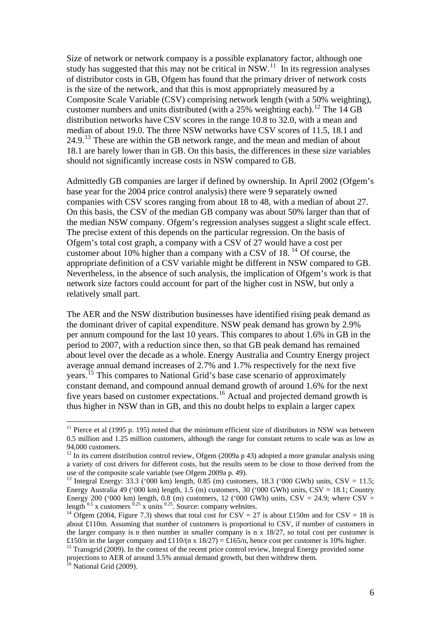Size of network or network company is a possible explanatory factor, although one study has suggested that this may not be critical in  $NSW<sup>11</sup>$  $NSW<sup>11</sup>$  $NSW<sup>11</sup>$ . In its regression analyses of distributor costs in GB, Ofgem has found that the primary driver of network costs is the size of the network, and that this is most appropriately measured by a Composite Scale Variable (CSV) comprising network length (with a 50% weighting), customer numbers and units distributed (with a  $25\%$  weighting each).<sup>[12](#page-6-1)</sup> The 14 GB distribution networks have CSV scores in the range 10.8 to 32.0, with a mean and median of about 19.0. The three NSW networks have CSV scores of 11.5, 18.1 and  $24.9<sup>13</sup>$  $24.9<sup>13</sup>$  $24.9<sup>13</sup>$  These are within the GB network range, and the mean and median of about 18.1 are barely lower than in GB. On this basis, the differences in these size variables should not significantly increase costs in NSW compared to GB.

Admittedly GB companies are larger if defined by ownership. In April 2002 (Ofgem's base year for the 2004 price control analysis) there were 9 separately owned companies with CSV scores ranging from about 18 to 48, with a median of about 27. On this basis, the CSV of the median GB company was about 50% larger than that of the median NSW company. Ofgem's regression analyses suggest a slight scale effect. The precise extent of this depends on the particular regression. On the basis of Ofgem's total cost graph, a company with a CSV of 27 would have a cost per customer about 10% higher than a company with a CSV of  $18$ . <sup>[14](#page-6-3)</sup> Of course, the appropriate definition of a CSV variable might be different in NSW compared to GB. Nevertheless, in the absence of such analysis, the implication of Ofgem's work is that network size factors could account for part of the higher cost in NSW, but only a relatively small part.

The AER and the NSW distribution businesses have identified rising peak demand as the dominant driver of capital expenditure. NSW peak demand has grown by 2.9% per annum compound for the last 10 years. This compares to about 1.6% in GB in the period to 2007, with a reduction since then, so that GB peak demand has remained about level over the decade as a whole. Energy Australia and Country Energy project average annual demand increases of 2.7% and 1.7% respectively for the next five years.[15](#page-6-4) This compares to National Grid's base case scenario of approximately constant demand, and compound annual demand growth of around 1.6% for the next five years based on customer expectations.<sup>[16](#page-6-5)</sup> Actual and projected demand growth is thus higher in NSW than in GB, and this no doubt helps to explain a larger capex

<u>.</u>

<span id="page-6-0"></span> $11$  Pierce et al (1995 p. 195) noted that the minimum efficient size of distributors in NSW was between 0.5 million and 1.25 million customers, although the range for constant returns to scale was as low as 94,000 customers.

<span id="page-6-1"></span><sup>&</sup>lt;sup>12</sup> In its current distribution control review, Ofgem (2009a p 43) adopted a more granular analysis using a variety of cost drivers for different costs, but the results seem to be close to those derived from the use of the composite scale variable (see Ofgem 2009a p. 49).

<span id="page-6-2"></span><sup>&</sup>lt;sup>13</sup> Integral Energy: 33.3 ('000 km) length, 0.85 (m) customers, 18.3 ('000 GWh) units, CSV = 11.5; Energy Australia 49 ('000 km) length, 1.5 (m) customers, 30 ('000 GWh) units, CSV = 18.1; Country Energy 200 ('000 km) length, 0.8 (m) customers, 12 ('000 GWh) units, CSV = 24.9; where CSV = length <sup>0.5</sup> x customers <sup>0.25</sup> x units <sup>0.25</sup>. Source: company websites.<br><sup>14</sup> Ofgem (2004, Figure 7.3) shows that total cost for CSV = 27 is about £150m and for CSV = 18 is

<span id="page-6-3"></span>about £110m. Assuming that number of customers is proportional to CSV, if number of customers in the larger company is n then number in smaller company is n  $x$  18/27, so total cost per customer is £150/n in the larger company and £110/(n x 18/27) = £165/n, hence cost per customer is 10% higher.

<span id="page-6-4"></span><sup>&</sup>lt;sup>15</sup> Transgrid (2009). In the context of the recent price control review, Integral Energy provided some projections to AER of around 3.5% annual demand growth, but then withdrew them.

<span id="page-6-5"></span><sup>&</sup>lt;sup>16</sup> National Grid (2009).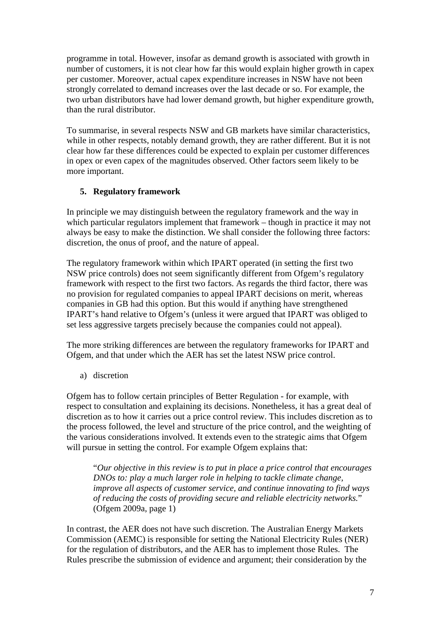programme in total. However, insofar as demand growth is associated with growth in number of customers, it is not clear how far this would explain higher growth in capex per customer. Moreover, actual capex expenditure increases in NSW have not been strongly correlated to demand increases over the last decade or so. For example, the two urban distributors have had lower demand growth, but higher expenditure growth, than the rural distributor.

To summarise, in several respects NSW and GB markets have similar characteristics, while in other respects, notably demand growth, they are rather different. But it is not clear how far these differences could be expected to explain per customer differences in opex or even capex of the magnitudes observed. Other factors seem likely to be more important.

# **5. Regulatory framework**

In principle we may distinguish between the regulatory framework and the way in which particular regulators implement that framework – though in practice it may not always be easy to make the distinction. We shall consider the following three factors: discretion, the onus of proof, and the nature of appeal.

The regulatory framework within which IPART operated (in setting the first two NSW price controls) does not seem significantly different from Ofgem's regulatory framework with respect to the first two factors. As regards the third factor, there was no provision for regulated companies to appeal IPART decisions on merit, whereas companies in GB had this option. But this would if anything have strengthened IPART's hand relative to Ofgem's (unless it were argued that IPART was obliged to set less aggressive targets precisely because the companies could not appeal).

The more striking differences are between the regulatory frameworks for IPART and Ofgem, and that under which the AER has set the latest NSW price control.

a) discretion

Ofgem has to follow certain principles of Better Regulation - for example, with respect to consultation and explaining its decisions. Nonetheless, it has a great deal of discretion as to how it carries out a price control review. This includes discretion as to the process followed, the level and structure of the price control, and the weighting of the various considerations involved. It extends even to the strategic aims that Ofgem will pursue in setting the control. For example Ofgem explains that:

"*Our objective in this review is to put in place a price control that encourages DNOs to: play a much larger role in helping to tackle climate change, improve all aspects of customer service, and continue innovating to find ways of reducing the costs of providing secure and reliable electricity networks.*" (Ofgem 2009a, page 1)

In contrast, the AER does not have such discretion. The Australian Energy Markets Commission (AEMC) is responsible for setting the National Electricity Rules (NER) for the regulation of distributors, and the AER has to implement those Rules. The Rules prescribe the submission of evidence and argument; their consideration by the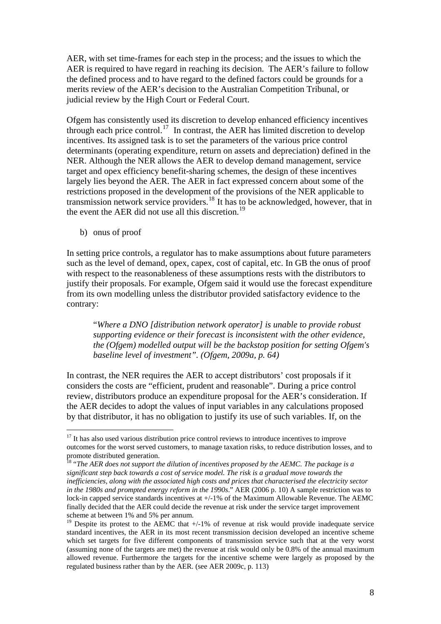AER, with set time-frames for each step in the process; and the issues to which the AER is required to have regard in reaching its decision. The AER's failure to follow the defined process and to have regard to the defined factors could be grounds for a merits review of the AER's decision to the Australian Competition Tribunal, or judicial review by the High Court or Federal Court.

Ofgem has consistently used its discretion to develop enhanced efficiency incentives through each price control.<sup>[17](#page-8-0)</sup> In contrast, the AER has limited discretion to develop incentives. Its assigned task is to set the parameters of the various price control determinants (operating expenditure, return on assets and depreciation) defined in the NER. Although the NER allows the AER to develop demand management, service target and opex efficiency benefit-sharing schemes, the design of these incentives largely lies beyond the AER. The AER in fact expressed concern about some of the restrictions proposed in the development of the provisions of the NER applicable to transmission network service providers.[18](#page-8-1) It has to be acknowledged, however, that in the event the AER did not use all this discretion.<sup>[19](#page-8-2)</sup>

b) onus of proof

1

In setting price controls, a regulator has to make assumptions about future parameters such as the level of demand, opex, capex, cost of capital, etc. In GB the onus of proof with respect to the reasonableness of these assumptions rests with the distributors to justify their proposals. For example, Ofgem said it would use the forecast expenditure from its own modelling unless the distributor provided satisfactory evidence to the contrary:

"*Where a DNO [distribution network operator] is unable to provide robust supporting evidence or their forecast is inconsistent with the other evidence, the (Ofgem) modelled output will be the backstop position for setting Ofgem's baseline level of investment". (Ofgem, 2009a, p. 64)*

In contrast, the NER requires the AER to accept distributors' cost proposals if it considers the costs are "efficient, prudent and reasonable". During a price control review, distributors produce an expenditure proposal for the AER's consideration. If the AER decides to adopt the values of input variables in any calculations proposed by that distributor, it has no obligation to justify its use of such variables. If, on the

<span id="page-8-0"></span><sup>&</sup>lt;sup>17</sup> It has also used various distribution price control reviews to introduce incentives to improve outcomes for the worst served customers, to manage taxation risks, to reduce distribution losses, and to promote distributed generation.

<span id="page-8-1"></span><sup>18 &</sup>quot;*The AER does not support the dilution of incentives proposed by the AEMC. The package is a significant step back towards a cost of service model. The risk is a gradual move towards the inefficiencies, along with the associated high costs and prices that characterised the electricity sector in the 1980s and prompted energy reform in the 1990s*." AER (2006 p. 10) A sample restriction was to lock-in capped service standards incentives at +/-1% of the Maximum Allowable Revenue. The AEMC finally decided that the AER could decide the revenue at risk under the service target improvement scheme at between 1% and 5% per annum.

<span id="page-8-2"></span><sup>&</sup>lt;sup>19</sup> Despite its protest to the AEMC that  $+/-1\%$  of revenue at risk would provide inadequate service standard incentives, the AER in its most recent transmission decision developed an incentive scheme which set targets for five different components of transmission service such that at the very worst (assuming none of the targets are met) the revenue at risk would only be 0.8% of the annual maximum allowed revenue. Furthermore the targets for the incentive scheme were largely as proposed by the regulated business rather than by the AER. (see AER 2009c, p. 113)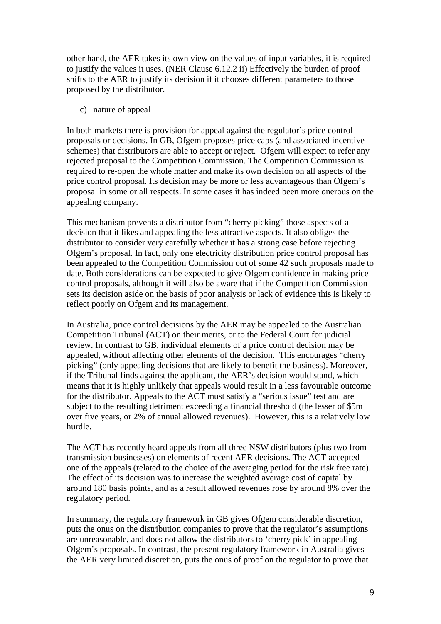other hand, the AER takes its own view on the values of input variables, it is required to justify the values it uses. (NER Clause 6.12.2 ii) Effectively the burden of proof shifts to the AER to justify its decision if it chooses different parameters to those proposed by the distributor.

c) nature of appeal

In both markets there is provision for appeal against the regulator's price control proposals or decisions. In GB, Ofgem proposes price caps (and associated incentive schemes) that distributors are able to accept or reject. Ofgem will expect to refer any rejected proposal to the Competition Commission. The Competition Commission is required to re-open the whole matter and make its own decision on all aspects of the price control proposal. Its decision may be more or less advantageous than Ofgem's proposal in some or all respects. In some cases it has indeed been more onerous on the appealing company.

This mechanism prevents a distributor from "cherry picking" those aspects of a decision that it likes and appealing the less attractive aspects. It also obliges the distributor to consider very carefully whether it has a strong case before rejecting Ofgem's proposal. In fact, only one electricity distribution price control proposal has been appealed to the Competition Commission out of some 42 such proposals made to date. Both considerations can be expected to give Ofgem confidence in making price control proposals, although it will also be aware that if the Competition Commission sets its decision aside on the basis of poor analysis or lack of evidence this is likely to reflect poorly on Ofgem and its management.

In Australia, price control decisions by the AER may be appealed to the Australian Competition Tribunal (ACT) on their merits, or to the Federal Court for judicial review. In contrast to GB, individual elements of a price control decision may be appealed, without affecting other elements of the decision. This encourages "cherry picking" (only appealing decisions that are likely to benefit the business). Moreover, if the Tribunal finds against the applicant, the AER's decision would stand, which means that it is highly unlikely that appeals would result in a less favourable outcome for the distributor. Appeals to the ACT must satisfy a "serious issue" test and are subject to the resulting detriment exceeding a financial threshold (the lesser of \$5m over five years, or 2% of annual allowed revenues). However, this is a relatively low hurdle.

The ACT has recently heard appeals from all three NSW distributors (plus two from transmission businesses) on elements of recent AER decisions. The ACT accepted one of the appeals (related to the choice of the averaging period for the risk free rate). The effect of its decision was to increase the weighted average cost of capital by around 180 basis points, and as a result allowed revenues rose by around 8% over the regulatory period.

In summary, the regulatory framework in GB gives Ofgem considerable discretion, puts the onus on the distribution companies to prove that the regulator's assumptions are unreasonable, and does not allow the distributors to 'cherry pick' in appealing Ofgem's proposals. In contrast, the present regulatory framework in Australia gives the AER very limited discretion, puts the onus of proof on the regulator to prove that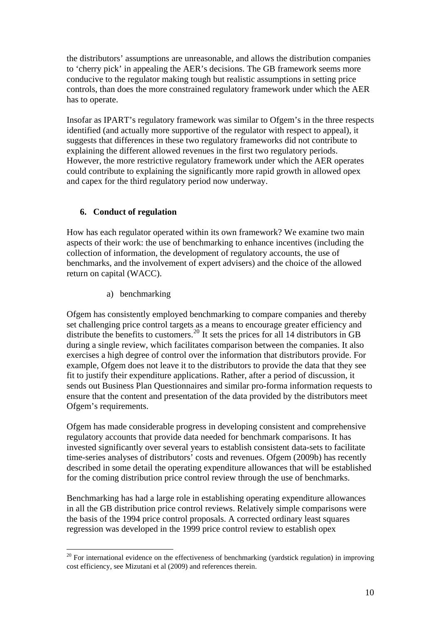the distributors' assumptions are unreasonable, and allows the distribution companies to 'cherry pick' in appealing the AER's decisions. The GB framework seems more conducive to the regulator making tough but realistic assumptions in setting price controls, than does the more constrained regulatory framework under which the AER has to operate.

Insofar as IPART's regulatory framework was similar to Ofgem's in the three respects identified (and actually more supportive of the regulator with respect to appeal), it suggests that differences in these two regulatory frameworks did not contribute to explaining the different allowed revenues in the first two regulatory periods. However, the more restrictive regulatory framework under which the AER operates could contribute to explaining the significantly more rapid growth in allowed opex and capex for the third regulatory period now underway.

# **6. Conduct of regulation**

How has each regulator operated within its own framework? We examine two main aspects of their work: the use of benchmarking to enhance incentives (including the collection of information, the development of regulatory accounts, the use of benchmarks, and the involvement of expert advisers) and the choice of the allowed return on capital (WACC).

a) benchmarking

Ofgem has consistently employed benchmarking to compare companies and thereby set challenging price control targets as a means to encourage greater efficiency and distribute the benefits to customers.<sup>[20](#page-10-0)</sup> It sets the prices for all 14 distributors in GB during a single review, which facilitates comparison between the companies. It also exercises a high degree of control over the information that distributors provide. For example, Ofgem does not leave it to the distributors to provide the data that they see fit to justify their expenditure applications. Rather, after a period of discussion, it sends out Business Plan Questionnaires and similar pro-forma information requests to ensure that the content and presentation of the data provided by the distributors meet Ofgem's requirements.

Ofgem has made considerable progress in developing consistent and comprehensive regulatory accounts that provide data needed for benchmark comparisons. It has invested significantly over several years to establish consistent data-sets to facilitate time-series analyses of distributors' costs and revenues. Ofgem (2009b) has recently described in some detail the operating expenditure allowances that will be established for the coming distribution price control review through the use of benchmarks.

Benchmarking has had a large role in establishing operating expenditure allowances in all the GB distribution price control reviews. Relatively simple comparisons were the basis of the 1994 price control proposals. A corrected ordinary least squares regression was developed in the 1999 price control review to establish opex

<span id="page-10-0"></span><sup>&</sup>lt;u>.</u>  $20$  For international evidence on the effectiveness of benchmarking (yardstick regulation) in improving cost efficiency, see Mizutani et al (2009) and references therein.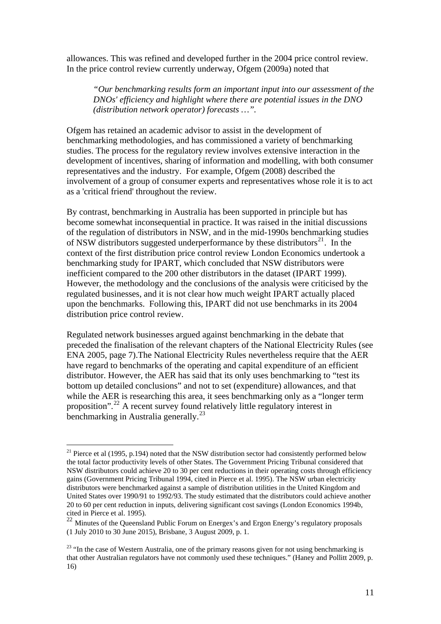allowances. This was refined and developed further in the 2004 price control review. In the price control review currently underway, Ofgem (2009a) noted that

*"Our benchmarking results form an important input into our assessment of the DNOs' efficiency and highlight where there are potential issues in the DNO (distribution network operator) forecasts …".* 

Ofgem has retained an academic advisor to assist in the development of benchmarking methodologies, and has commissioned a variety of benchmarking studies. The process for the regulatory review involves extensive interaction in the development of incentives, sharing of information and modelling, with both consumer representatives and the industry. For example, Ofgem (2008) described the involvement of a group of consumer experts and representatives whose role it is to act as a 'critical friend' throughout the review.

By contrast, benchmarking in Australia has been supported in principle but has become somewhat inconsequential in practice. It was raised in the initial discussions of the regulation of distributors in NSW, and in the mid-1990s benchmarking studies of NSW distributors suggested underperformance by these distributors<sup>[21](#page-11-0)</sup>. In the context of the first distribution price control review London Economics undertook a benchmarking study for IPART, which concluded that NSW distributors were inefficient compared to the 200 other distributors in the dataset (IPART 1999). However, the methodology and the conclusions of the analysis were criticised by the regulated businesses, and it is not clear how much weight IPART actually placed upon the benchmarks. Following this, IPART did not use benchmarks in its 2004 distribution price control review.

Regulated network businesses argued against benchmarking in the debate that preceded the finalisation of the relevant chapters of the National Electricity Rules (see ENA 2005, page 7).The National Electricity Rules nevertheless require that the AER have regard to benchmarks of the operating and capital expenditure of an efficient distributor. However, the AER has said that its only uses benchmarking to "test its bottom up detailed conclusions" and not to set (expenditure) allowances, and that while the AER is researching this area, it sees benchmarking only as a "longer term" proposition".<sup>[22](#page-11-1)</sup> A recent survey found relatively little regulatory interest in benchmarking in Australia generally.<sup>[23](#page-11-2)</sup>

<span id="page-11-0"></span><sup>&</sup>lt;sup>21</sup> Pierce et al (1995, p.194) noted that the NSW distribution sector had consistently performed below the total factor productivity levels of other States. The Government Pricing Tribunal considered that NSW distributors could achieve 20 to 30 per cent reductions in their operating costs through efficiency gains (Government Pricing Tribunal 1994, cited in Pierce et al. 1995). The NSW urban electricity distributors were benchmarked against a sample of distribution utilities in the United Kingdom and United States over 1990/91 to 1992/93. The study estimated that the distributors could achieve another 20 to 60 per cent reduction in inputs, delivering significant cost savings (London Economics 1994b, cited in Pierce et al. 1995).

<span id="page-11-1"></span> $^{22}$  Minutes of the Queensland Public Forum on Energex's and Ergon Energy's regulatory proposals (1 July 2010 to 30 June 2015), Brisbane, 3 August 2009, p. 1.

<span id="page-11-2"></span><sup>&</sup>lt;sup>23</sup> "In the case of Western Australia, one of the primary reasons given for not using benchmarking is that other Australian regulators have not commonly used these techniques." (Haney and Pollitt 2009, p. 16)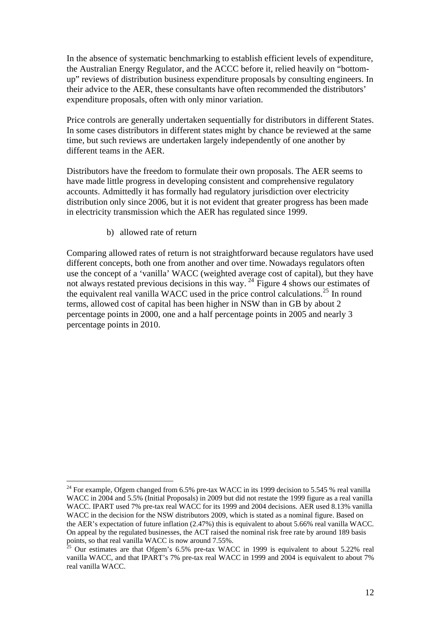In the absence of systematic benchmarking to establish efficient levels of expenditure, the Australian Energy Regulator, and the ACCC before it, relied heavily on "bottomup" reviews of distribution business expenditure proposals by consulting engineers. In their advice to the AER, these consultants have often recommended the distributors' expenditure proposals, often with only minor variation.

Price controls are generally undertaken sequentially for distributors in different States. In some cases distributors in different states might by chance be reviewed at the same time, but such reviews are undertaken largely independently of one another by different teams in the AER.

Distributors have the freedom to formulate their own proposals. The AER seems to have made little progress in developing consistent and comprehensive regulatory accounts. Admittedly it has formally had regulatory jurisdiction over electricity distribution only since 2006, but it is not evident that greater progress has been made in electricity transmission which the AER has regulated since 1999.

b) allowed rate of return

1

Comparing allowed rates of return is not straightforward because regulators have used different concepts, both one from another and over time. Nowadays regulators often use the concept of a 'vanilla' WACC (weighted average cost of capital), but they have not always restated previous decisions in this way.<sup>[24](#page-12-0)</sup> Figure 4 shows our estimates of the equivalent real vanilla WACC used in the price control calculations.[25](#page-12-1) In round terms, allowed cost of capital has been higher in NSW than in GB by about 2 percentage points in 2000, one and a half percentage points in 2005 and nearly 3 percentage points in 2010.

<span id="page-12-0"></span> $24$  For example, Ofgem changed from 6.5% pre-tax WACC in its 1999 decision to 5.545 % real vanilla WACC in 2004 and 5.5% (Initial Proposals) in 2009 but did not restate the 1999 figure as a real vanilla WACC. IPART used 7% pre-tax real WACC for its 1999 and 2004 decisions. AER used 8.13% vanilla WACC in the decision for the NSW distributors 2009, which is stated as a nominal figure. Based on the AER's expectation of future inflation (2.47%) this is equivalent to about 5.66% real vanilla WACC. On appeal by the regulated businesses, the ACT raised the nominal risk free rate by around 189 basis points, so that real vanilla WACC is now around 7.55%.

<span id="page-12-1"></span><sup>25</sup> Our estimates are that Ofgem's 6.5% pre-tax WACC in 1999 is equivalent to about 5.22% real vanilla WACC, and that IPART's 7% pre-tax real WACC in 1999 and 2004 is equivalent to about 7% real vanilla WACC.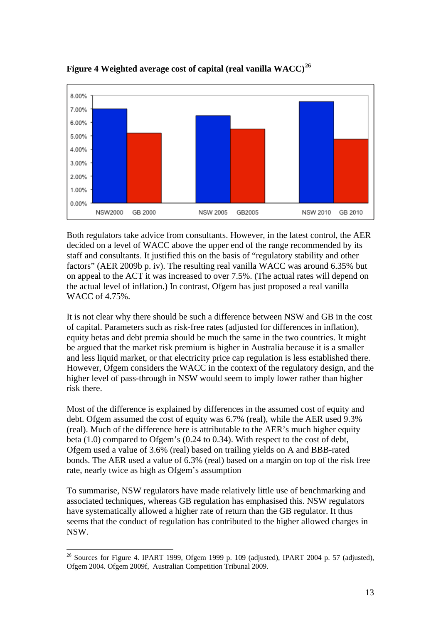

**Figure 4 Weighted average cost of capital (real vanilla WACC)[26](#page-13-0)**

Both regulators take advice from consultants. However, in the latest control, the AER decided on a level of WACC above the upper end of the range recommended by its staff and consultants. It justified this on the basis of "regulatory stability and other factors" (AER 2009b p. iv). The resulting real vanilla WACC was around 6.35% but on appeal to the ACT it was increased to over 7.5%. (The actual rates will depend on the actual level of inflation.) In contrast, Ofgem has just proposed a real vanilla WACC of 4.75%.

It is not clear why there should be such a difference between NSW and GB in the cost of capital. Parameters such as risk-free rates (adjusted for differences in inflation), equity betas and debt premia should be much the same in the two countries. It might be argued that the market risk premium is higher in Australia because it is a smaller and less liquid market, or that electricity price cap regulation is less established there. However, Ofgem considers the WACC in the context of the regulatory design, and the higher level of pass-through in NSW would seem to imply lower rather than higher risk there.

Most of the difference is explained by differences in the assumed cost of equity and debt. Ofgem assumed the cost of equity was 6.7% (real), while the AER used 9.3% (real). Much of the difference here is attributable to the AER's much higher equity beta (1.0) compared to Ofgem's (0.24 to 0.34). With respect to the cost of debt, Ofgem used a value of 3.6% (real) based on trailing yields on A and BBB-rated bonds. The AER used a value of 6.3% (real) based on a margin on top of the risk free rate, nearly twice as high as Ofgem's assumption

To summarise, NSW regulators have made relatively little use of benchmarking and associated techniques, whereas GB regulation has emphasised this. NSW regulators have systematically allowed a higher rate of return than the GB regulator. It thus seems that the conduct of regulation has contributed to the higher allowed charges in NSW.

<span id="page-13-0"></span><sup>&</sup>lt;u>.</u>  $26$  Sources for Figure 4. IPART 1999, Ofgem 1999 p. 109 (adjusted), IPART 2004 p. 57 (adjusted), Ofgem 2004. Ofgem 2009f, Australian Competition Tribunal 2009.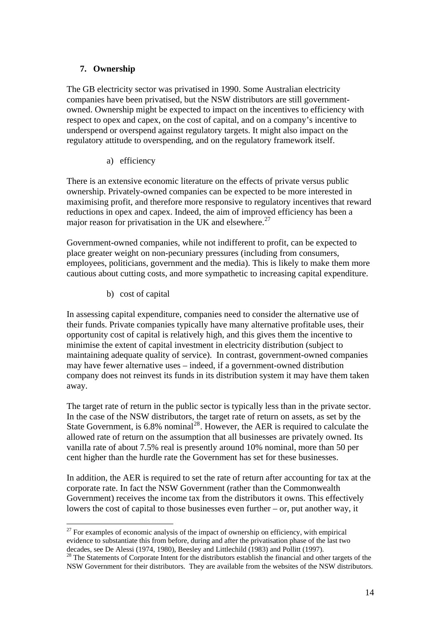## **7. Ownership**

The GB electricity sector was privatised in 1990. Some Australian electricity companies have been privatised, but the NSW distributors are still governmentowned. Ownership might be expected to impact on the incentives to efficiency with respect to opex and capex, on the cost of capital, and on a company's incentive to underspend or overspend against regulatory targets. It might also impact on the regulatory attitude to overspending, and on the regulatory framework itself.

## a) efficiency

There is an extensive economic literature on the effects of private versus public ownership. Privately-owned companies can be expected to be more interested in maximising profit, and therefore more responsive to regulatory incentives that reward reductions in opex and capex. Indeed, the aim of improved efficiency has been a major reason for privatisation in the UK and elsewhere.<sup>[27](#page-14-0)</sup>

Government-owned companies, while not indifferent to profit, can be expected to place greater weight on non-pecuniary pressures (including from consumers, employees, politicians, government and the media). This is likely to make them more cautious about cutting costs, and more sympathetic to increasing capital expenditure.

b) cost of capital

<u>.</u>

In assessing capital expenditure, companies need to consider the alternative use of their funds. Private companies typically have many alternative profitable uses, their opportunity cost of capital is relatively high, and this gives them the incentive to minimise the extent of capital investment in electricity distribution (subject to maintaining adequate quality of service). In contrast, government-owned companies may have fewer alternative uses – indeed, if a government-owned distribution company does not reinvest its funds in its distribution system it may have them taken away.

The target rate of return in the public sector is typically less than in the private sector. In the case of the NSW distributors, the target rate of return on assets, as set by the State Government, is  $6.8\%$  nominal<sup>[28](#page-14-1)</sup>. However, the AER is required to calculate the allowed rate of return on the assumption that all businesses are privately owned. Its vanilla rate of about 7.5% real is presently around 10% nominal, more than 50 per cent higher than the hurdle rate the Government has set for these businesses.

In addition, the AER is required to set the rate of return after accounting for tax at the corporate rate. In fact the NSW Government (rather than the Commonwealth Government) receives the income tax from the distributors it owns. This effectively lowers the cost of capital to those businesses even further – or, put another way, it

<span id="page-14-0"></span> $27$  For examples of economic analysis of the impact of ownership on efficiency, with empirical evidence to substantiate this from before, during and after the privatisation phase of the last two decades, see De Alessi (1974, 1980), Beesley and Littlechild (1983) and Pollitt (1997).

<span id="page-14-1"></span>decades, see De Alessi (1974, 1980), Beesley and Distributors establish the financial and other targets of the NSW Government for their distributors. They are available from the websites of the NSW distributors.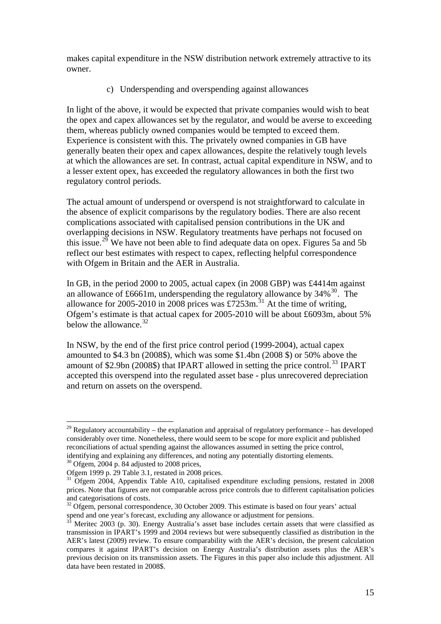makes capital expenditure in the NSW distribution network extremely attractive to its owner.

c) Underspending and overspending against allowances

In light of the above, it would be expected that private companies would wish to beat the opex and capex allowances set by the regulator, and would be averse to exceeding them, whereas publicly owned companies would be tempted to exceed them. Experience is consistent with this. The privately owned companies in GB have generally beaten their opex and capex allowances, despite the relatively tough levels at which the allowances are set. In contrast, actual capital expenditure in NSW, and to a lesser extent opex, has exceeded the regulatory allowances in both the first two regulatory control periods.

The actual amount of underspend or overspend is not straightforward to calculate in the absence of explicit comparisons by the regulatory bodies. There are also recent complications associated with capitalised pension contributions in the UK and overlapping decisions in NSW. Regulatory treatments have perhaps not focused on this issue.<sup>[29](#page-15-0)</sup> We have not been able to find adequate data on opex. Figures 5a and 5b reflect our best estimates with respect to capex, reflecting helpful correspondence with Ofgem in Britain and the AER in Australia.

In GB, in the period 2000 to 2005, actual capex (in 2008 GBP) was £4414m against an allowance of £6661m, underspending the regulatory allowance by  $34\%$ <sup>[30](#page-15-1)</sup>. The allowance for 2005-2010 in 2008 prices was £7253m.<sup>[31](#page-15-2)</sup> At the time of writing, Ofgem's estimate is that actual capex for 2005-2010 will be about £6093m, about 5% below the allowance.<sup>[32](#page-15-3)</sup>

In NSW, by the end of the first price control period (1999-2004), actual capex amounted to \$4.3 bn (2008\$), which was some \$1.4bn (2008 \$) or 50% above the amount of \$2.9bn (2008\$) that IPART allowed in setting the price control.<sup>[33](#page-15-4)</sup> IPART accepted this overspend into the regulated asset base - plus unrecovered depreciation and return on assets on the overspend.

<u>.</u>

<span id="page-15-0"></span> $29$  Regulatory accountability – the explanation and appraisal of regulatory performance – has developed considerably over time. Nonetheless, there would seem to be scope for more explicit and published reconciliations of actual spending against the allowances assumed in setting the price control, identifying and explaining any differences, and noting any potentially distorting elements.

<span id="page-15-1"></span><sup>&</sup>lt;sup>30</sup> Ofgem, 2004 p. 84 adjusted to 2008 prices,

Ofgem 1999 p. 29 Table 3.1, restated in 2008 prices.

<span id="page-15-2"></span><sup>&</sup>lt;sup>31</sup> Ofgem 2004, Appendix Table A10, capitalised expenditure excluding pensions, restated in 2008 prices. Note that figures are not comparable across price controls due to different capitalisation policies and categorisations of costs.

<span id="page-15-3"></span> $32$  Ofgem, personal correspondence, 30 October 2009. This estimate is based on four years' actual spend and one year's forecast, excluding any allowance or adjustment for pensions.<br><sup>33</sup> Meritec 2003 (p. 30). Energy Australia's asset base includes certain assets that were classified as

<span id="page-15-4"></span>transmission in IPART's 1999 and 2004 reviews but were subsequently classified as distribution in the AER's latest (2009) review. To ensure comparability with the AER's decision, the present calculation compares it against IPART's decision on Energy Australia's distribution assets plus the AER's previous decision on its transmission assets. The Figures in this paper also include this adjustment. All data have been restated in 2008\$.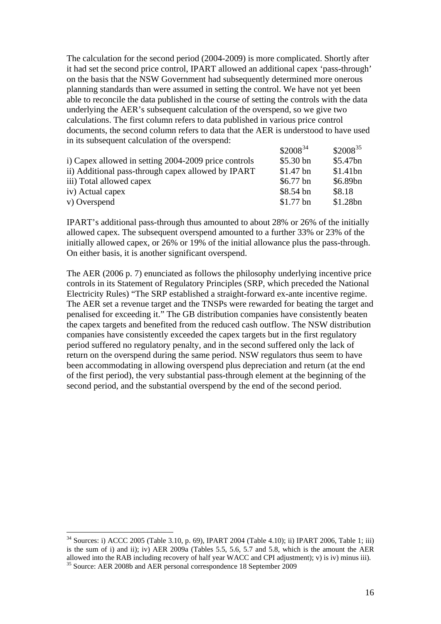The calculation for the second period (2004-2009) is more complicated. Shortly after it had set the second price control, IPART allowed an additional capex 'pass-through' on the basis that the NSW Government had subsequently determined more onerous planning standards than were assumed in setting the control. We have not yet been able to reconcile the data published in the course of setting the controls with the data underlying the AER's subsequent calculation of the overspend, so we give two calculations. The first column refers to data published in various price control documents, the second column refers to data that the AER is understood to have used in its subsequent calculation of the overspend:

|                                                      | $$2008^{34}$ | $$2008^{35}$ |
|------------------------------------------------------|--------------|--------------|
| i) Capex allowed in setting 2004-2009 price controls | $$5.30$ bn   | \$5.47bn     |
| ii) Additional pass-through capex allowed by IPART   | $$1.47$ bn   | \$1.41bn     |
| iii) Total allowed capex                             | $$6.77$ bn   | \$6.89bn     |
| iv) Actual capex                                     | $$8.54$ bn   | \$8.18       |
| v) Overspend                                         | $$1.77$ bn   | \$1.28bn     |

IPART's additional pass-through thus amounted to about 28% or 26% of the initially allowed capex. The subsequent overspend amounted to a further 33% or 23% of the initially allowed capex, or 26% or 19% of the initial allowance plus the pass-through. On either basis, it is another significant overspend.

The AER (2006 p. 7) enunciated as follows the philosophy underlying incentive price controls in its Statement of Regulatory Principles (SRP, which preceded the National Electricity Rules) "The SRP established a straight-forward ex-ante incentive regime. The AER set a revenue target and the TNSPs were rewarded for beating the target and penalised for exceeding it." The GB distribution companies have consistently beaten the capex targets and benefited from the reduced cash outflow. The NSW distribution companies have consistently exceeded the capex targets but in the first regulatory period suffered no regulatory penalty, and in the second suffered only the lack of return on the overspend during the same period. NSW regulators thus seem to have been accommodating in allowing overspend plus depreciation and return (at the end of the first period), the very substantial pass-through element at the beginning of the second period, and the substantial overspend by the end of the second period.

<span id="page-16-1"></span><span id="page-16-0"></span> $34$  Sources: i) ACCC 2005 (Table 3.10, p. 69), IPART 2004 (Table 4.10); ii) IPART 2006, Table 1; iii) is the sum of i) and ii); iv) AER 2009a (Tables 5.5, 5.6, 5.7 and 5.8, which is the amount the AER allowed into the RAB including recovery of half year WACC and CPI adjustment); v) is iv) minus iii). <sup>35</sup> Source: AER 2008b and AER personal correspondence 18 September 2009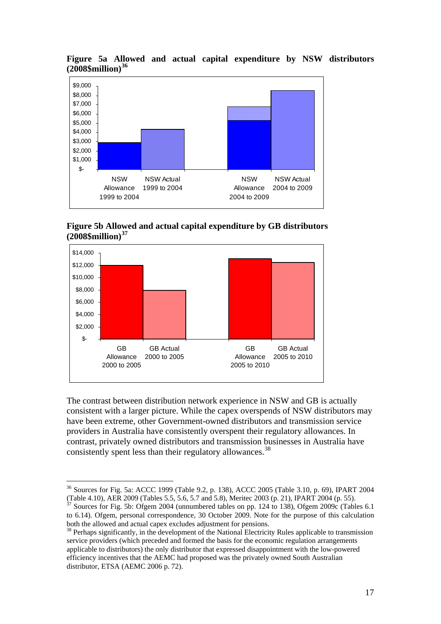



**Figure 5b Allowed and actual capital expenditure by GB distributors (2008\$million)[37](#page-17-1)**



The contrast between distribution network experience in NSW and GB is actually consistent with a larger picture. While the capex overspends of NSW distributors may have been extreme, other Government-owned distributors and transmission service providers in Australia have consistently overspent their regulatory allowances. In contrast, privately owned distributors and transmission businesses in Australia have consistently spent less than their regulatory allowances.<sup>[38](#page-17-2)</sup>

<span id="page-17-0"></span><sup>36</sup> Sources for Fig. 5a: ACCC 1999 (Table 9.2, p. 138), ACCC 2005 (Table 3.10, p. 69), IPART 2004 (Table 4.10), AER 2009 (Tables 5.5, 5.6, 5.7 and 5.8), Meritec 2003 (p. 21), IPART 2004 (p. 55).<br><sup>37</sup> Sources for Fig. 5b: Ofgem 2004 (unnumbered tables on pp. 124 to 138), Ofgem 2009c (Tables 6.1

<span id="page-17-1"></span>to 6.14). Ofgem, personal correspondence, 30 October 2009. Note for the purpose of this calculation both the allowed and actual capex excludes adjustment for pensions.

<span id="page-17-2"></span><sup>&</sup>lt;sup>38</sup> Perhaps significantly, in the development of the National Electricity Rules applicable to transmission service providers (which preceded and formed the basis for the economic regulation arrangements applicable to distributors) the only distributor that expressed disappointment with the low-powered efficiency incentives that the AEMC had proposed was the privately owned South Australian distributor, ETSA (AEMC 2006 p. 72).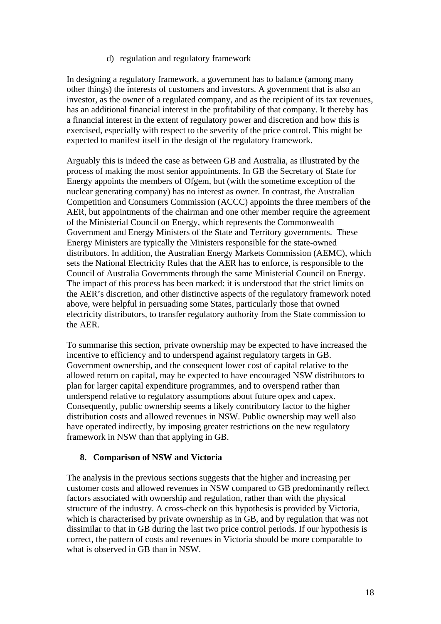## d) regulation and regulatory framework

In designing a regulatory framework, a government has to balance (among many other things) the interests of customers and investors. A government that is also an investor, as the owner of a regulated company, and as the recipient of its tax revenues, has an additional financial interest in the profitability of that company. It thereby has a financial interest in the extent of regulatory power and discretion and how this is exercised, especially with respect to the severity of the price control. This might be expected to manifest itself in the design of the regulatory framework.

Arguably this is indeed the case as between GB and Australia, as illustrated by the process of making the most senior appointments. In GB the Secretary of State for Energy appoints the members of Ofgem, but (with the sometime exception of the nuclear generating company) has no interest as owner. In contrast, the Australian Competition and Consumers Commission (ACCC) appoints the three members of the AER, but appointments of the chairman and one other member require the agreement of the Ministerial Council on Energy, which represents the Commonwealth Government and Energy Ministers of the State and Territory governments. These Energy Ministers are typically the Ministers responsible for the state-owned distributors. In addition, the Australian Energy Markets Commission (AEMC), which sets the National Electricity Rules that the AER has to enforce, is responsible to the Council of Australia Governments through the same Ministerial Council on Energy. The impact of this process has been marked: it is understood that the strict limits on the AER's discretion, and other distinctive aspects of the regulatory framework noted above, were helpful in persuading some States, particularly those that owned electricity distributors, to transfer regulatory authority from the State commission to the AER.

To summarise this section, private ownership may be expected to have increased the incentive to efficiency and to underspend against regulatory targets in GB. Government ownership, and the consequent lower cost of capital relative to the allowed return on capital, may be expected to have encouraged NSW distributors to plan for larger capital expenditure programmes, and to overspend rather than underspend relative to regulatory assumptions about future opex and capex. Consequently, public ownership seems a likely contributory factor to the higher distribution costs and allowed revenues in NSW. Public ownership may well also have operated indirectly, by imposing greater restrictions on the new regulatory framework in NSW than that applying in GB.

## **8. Comparison of NSW and Victoria**

The analysis in the previous sections suggests that the higher and increasing per customer costs and allowed revenues in NSW compared to GB predominantly reflect factors associated with ownership and regulation, rather than with the physical structure of the industry. A cross-check on this hypothesis is provided by Victoria, which is characterised by private ownership as in GB, and by regulation that was not dissimilar to that in GB during the last two price control periods. If our hypothesis is correct, the pattern of costs and revenues in Victoria should be more comparable to what is observed in GB than in NSW.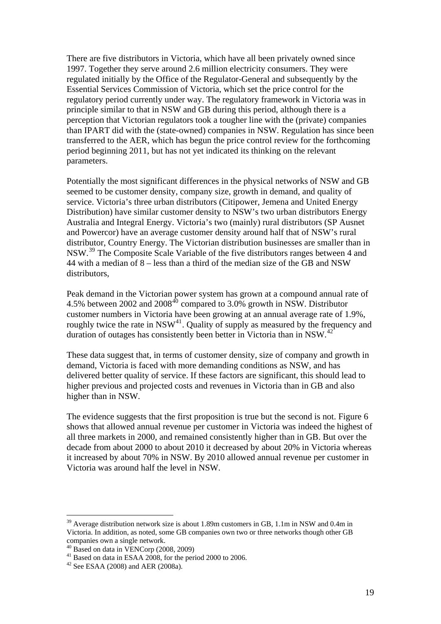There are five distributors in Victoria, which have all been privately owned since 1997. Together they serve around 2.6 million electricity consumers. They were regulated initially by the Office of the Regulator-General and subsequently by the Essential Services Commission of Victoria, which set the price control for the regulatory period currently under way. The regulatory framework in Victoria was in principle similar to that in NSW and GB during this period, although there is a perception that Victorian regulators took a tougher line with the (private) companies than IPART did with the (state-owned) companies in NSW. Regulation has since been transferred to the AER, which has begun the price control review for the forthcoming period beginning 2011, but has not yet indicated its thinking on the relevant parameters.

Potentially the most significant differences in the physical networks of NSW and GB seemed to be customer density, company size, growth in demand, and quality of service. Victoria's three urban distributors (Citipower, Jemena and United Energy Distribution) have similar customer density to NSW's two urban distributors Energy Australia and Integral Energy. Victoria's two (mainly) rural distributors (SP Ausnet and Powercor) have an average customer density around half that of NSW's rural distributor, Country Energy. The Victorian distribution businesses are smaller than in NSW.[39](#page-19-0) The Composite Scale Variable of the five distributors ranges between 4 and 44 with a median of 8 – less than a third of the median size of the GB and NSW distributors,

Peak demand in the Victorian power system has grown at a compound annual rate of 4.5% between 2002 and 2008<sup>[40](#page-19-1)</sup> compared to 3.0% growth in NSW. Distributor customer numbers in Victoria have been growing at an annual average rate of 1.9%, roughly twice the rate in  $NSW<sup>41</sup>$  $NSW<sup>41</sup>$  $NSW<sup>41</sup>$ . Quality of supply as measured by the frequency and duration of outages has consistently been better in Victoria than in NSW.<sup>[42](#page-19-3)</sup>

These data suggest that, in terms of customer density, size of company and growth in demand, Victoria is faced with more demanding conditions as NSW, and has delivered better quality of service. If these factors are significant, this should lead to higher previous and projected costs and revenues in Victoria than in GB and also higher than in NSW.

The evidence suggests that the first proposition is true but the second is not. Figure 6 shows that allowed annual revenue per customer in Victoria was indeed the highest of all three markets in 2000, and remained consistently higher than in GB. But over the decade from about 2000 to about 2010 it decreased by about 20% in Victoria whereas it increased by about 70% in NSW. By 2010 allowed annual revenue per customer in Victoria was around half the level in NSW.

<span id="page-19-0"></span><sup>&</sup>lt;sup>39</sup> Average distribution network size is about 1.89m customers in GB, 1.1m in NSW and 0.4m in Victoria. In addition, as noted, some GB companies own two or three networks though other GB companies own a single network.

<sup>40</sup> Based on data in VENCorp (2008, 2009)

<span id="page-19-2"></span><span id="page-19-1"></span> $41$  Based on data in ESAA 2008, for the period 2000 to 2006.

<span id="page-19-3"></span><sup>42</sup> See ESAA (2008) and AER (2008a).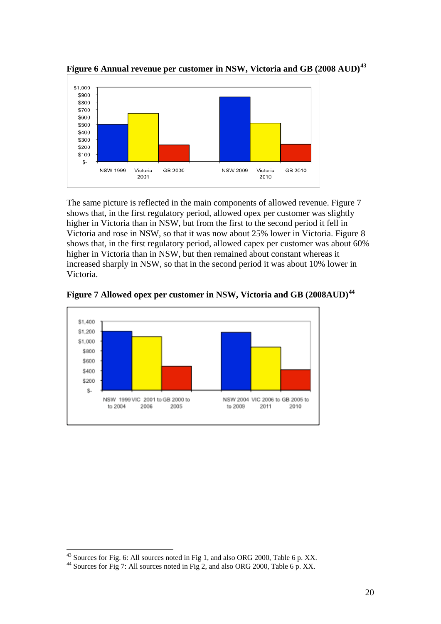

**Figure 6 Annual revenue per customer in NSW, Victoria and GB (2008 AUD)[43](#page-20-0)**

The same picture is reflected in the main components of allowed revenue. Figure 7 shows that, in the first regulatory period, allowed opex per customer was slightly higher in Victoria than in NSW, but from the first to the second period it fell in Victoria and rose in NSW, so that it was now about 25% lower in Victoria. Figure 8 shows that, in the first regulatory period, allowed capex per customer was about 60% higher in Victoria than in NSW, but then remained about constant whereas it increased sharply in NSW, so that in the second period it was about 10% lower in Victoria.



**Figure 7 Allowed opex per customer in NSW, Victoria and GB (2008AUD)[44](#page-20-1)**

<u>.</u>

 $^{43}$  Sources for Fig. 6: All sources noted in Fig 1, and also ORG 2000, Table 6 p. XX.

<span id="page-20-1"></span><span id="page-20-0"></span><sup>&</sup>lt;sup>44</sup> Sources for Fig 7: All sources noted in Fig 2, and also ORG 2000, Table 6 p. XX.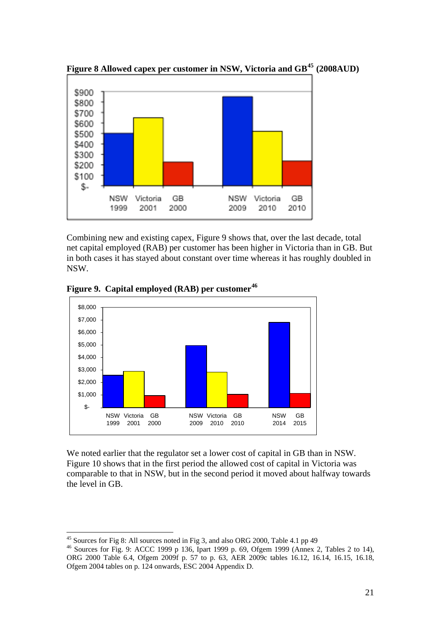![](_page_21_Figure_0.jpeg)

**Figure 8 Allowed capex per customer in NSW, Victoria and GB[45](#page-21-0) (2008AUD)** 

Combining new and existing capex, Figure 9 shows that, over the last decade, total net capital employed (RAB) per customer has been higher in Victoria than in GB. But in both cases it has stayed about constant over time whereas it has roughly doubled in NSW.

![](_page_21_Figure_3.jpeg)

**Figure 9. Capital employed (RAB) per customer[46](#page-21-1)**

We noted earlier that the regulator set a lower cost of capital in GB than in NSW. Figure 10 shows that in the first period the allowed cost of capital in Victoria was comparable to that in NSW, but in the second period it moved about halfway towards the level in GB.

<sup>&</sup>lt;sup>45</sup> Sources for Fig 8: All sources noted in Fig 3, and also ORG 2000, Table 4.1 pp 49

<span id="page-21-1"></span><span id="page-21-0"></span><sup>46</sup> Sources for Fig. 9: ACCC 1999 p 136, Ipart 1999 p. 69, Ofgem 1999 (Annex 2, Tables 2 to 14), ORG 2000 Table 6.4, Ofgem 2009f p. 57 to p. 63, AER 2009c tables 16.12, 16.14, 16.15, 16.18, Ofgem 2004 tables on p. 124 onwards, ESC 2004 Appendix D.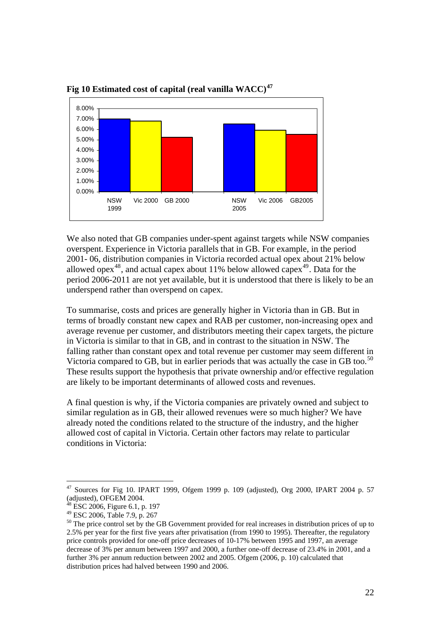![](_page_22_Figure_0.jpeg)

**Fig 10 Estimated cost of capital (real vanilla WACC)[47](#page-22-0)**

We also noted that GB companies under-spent against targets while NSW companies overspent. Experience in Victoria parallels that in GB. For example, in the period 2001- 06, distribution companies in Victoria recorded actual opex about 21% below allowed opex<sup>[48](#page-22-1)</sup>, and actual capex about 11% below allowed capex<sup>[49](#page-22-2)</sup>. Data for the period 2006-2011 are not yet available, but it is understood that there is likely to be an underspend rather than overspend on capex.

To summarise, costs and prices are generally higher in Victoria than in GB. But in terms of broadly constant new capex and RAB per customer, non-increasing opex and average revenue per customer, and distributors meeting their capex targets, the picture in Victoria is similar to that in GB, and in contrast to the situation in NSW. The falling rather than constant opex and total revenue per customer may seem different in Victoria compared to GB, but in earlier periods that was actually the case in GB too.<sup>[50](#page-22-3)</sup> These results support the hypothesis that private ownership and/or effective regulation are likely to be important determinants of allowed costs and revenues.

A final question is why, if the Victoria companies are privately owned and subject to similar regulation as in GB, their allowed revenues were so much higher? We have already noted the conditions related to the structure of the industry, and the higher allowed cost of capital in Victoria. Certain other factors may relate to particular conditions in Victoria:

<span id="page-22-0"></span> $47$  Sources for Fig 10. IPART 1999, Ofgem 1999 p. 109 (adjusted), Org 2000, IPART 2004 p. 57 (adjusted), OFGEM 2004.

 $\overline{ESC}$  2006, Figure 6.1, p. 197

<span id="page-22-2"></span><span id="page-22-1"></span><sup>49</sup> ESC 2006, Table 7.9, p. 267

<span id="page-22-3"></span><sup>&</sup>lt;sup>50</sup> The price control set by the GB Government provided for real increases in distribution prices of up to 2.5% per year for the first five years after privatisation (from 1990 to 1995). Thereafter, the regulatory price controls provided for one-off price decreases of 10-17% between 1995 and 1997, an average decrease of 3% per annum between 1997 and 2000, a further one-off decrease of 23.4% in 2001, and a further 3% per annum reduction between 2002 and 2005. Ofgem (2006, p. 10) calculated that distribution prices had halved between 1990 and 2006.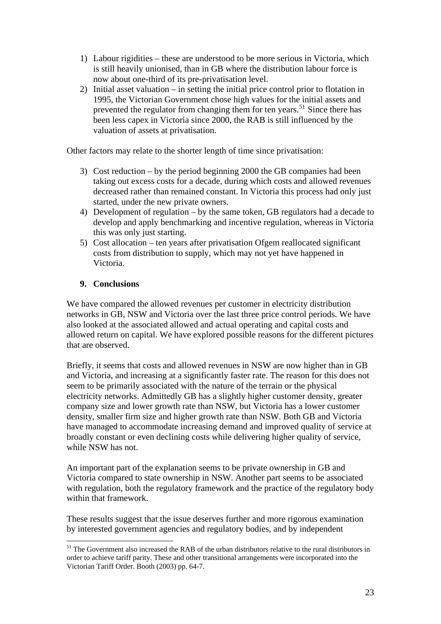- 1) Labour rigidities these are understood to be more serious in Victoria, which is still heavily unionised, than in GB where the distribution labour force is now about one-third of its pre-privatisation level.
- 2) Initial asset valuation in setting the initial price control prior to flotation in 1995, the Victorian Government chose high values for the initial assets and prevented the regulator from changing them for ten years.<sup>[51](#page-23-0)</sup> Since there has been less capex in Victoria since 2000, the RAB is still influenced by the valuation of assets at privatisation.

Other factors may relate to the shorter length of time since privatisation:

- 3) Cost reduction by the period beginning 2000 the GB companies had been taking out excess costs for a decade, during which costs and allowed revenues decreased rather than remained constant. In Victoria this process had only just started, under the new private owners.
- 4) Development of regulation by the same token, GB regulators had a decade to develop and apply benchmarking and incentive regulation, whereas in Victoria this was only just starting.
- 5) Cost allocation ten years after privatisation Ofgem reallocated significant costs from distribution to supply, which may not yet have happened in Victoria.

## **9. Conclusions**

1

We have compared the allowed revenues per customer in electricity distribution networks in GB, NSW and Victoria over the last three price control periods. We have also looked at the associated allowed and actual operating and capital costs and allowed return on capital. We have explored possible reasons for the different pictures that are observed.

Briefly, it seems that costs and allowed revenues in NSW are now higher than in GB and Victoria, and increasing at a significantly faster rate. The reason for this does not seem to be primarily associated with the nature of the terrain or the physical electricity networks. Admittedly GB has a slightly higher customer density, greater company size and lower growth rate than NSW, but Victoria has a lower customer density, smaller firm size and higher growth rate than NSW. Both GB and Victoria have managed to accommodate increasing demand and improved quality of service at broadly constant or even declining costs while delivering higher quality of service, while NSW has not.

An important part of the explanation seems to be private ownership in GB and Victoria compared to state ownership in NSW. Another part seems to be associated with regulation, both the regulatory framework and the practice of the regulatory body within that framework.

These results suggest that the issue deserves further and more rigorous examination by interested government agencies and regulatory bodies, and by independent

<span id="page-23-0"></span><sup>&</sup>lt;sup>51</sup> The Government also increased the RAB of the urban distributors relative to the rural distributors in order to achieve tariff parity. These and other transitional arrangements were incorporated into the Victorian Tariff Order. Booth (2003) pp. 64-7.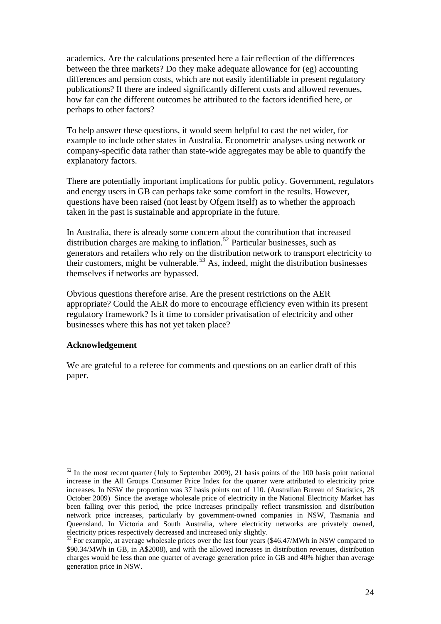academics. Are the calculations presented here a fair reflection of the differences between the three markets? Do they make adequate allowance for (eg) accounting differences and pension costs, which are not easily identifiable in present regulatory publications? If there are indeed significantly different costs and allowed revenues, how far can the different outcomes be attributed to the factors identified here, or perhaps to other factors?

To help answer these questions, it would seem helpful to cast the net wider, for example to include other states in Australia. Econometric analyses using network or company-specific data rather than state-wide aggregates may be able to quantify the explanatory factors.

There are potentially important implications for public policy. Government, regulators and energy users in GB can perhaps take some comfort in the results. However, questions have been raised (not least by Ofgem itself) as to whether the approach taken in the past is sustainable and appropriate in the future.

In Australia, there is already some concern about the contribution that increased distribution charges are making to inflation.<sup>[52](#page-24-0)</sup> Particular businesses, such as generators and retailers who rely on the distribution network to transport electricity to their customers, might be vulnerable.<sup>[53](#page-24-1)</sup> As, indeed, might the distribution businesses themselves if networks are bypassed.

Obvious questions therefore arise. Are the present restrictions on the AER appropriate? Could the AER do more to encourage efficiency even within its present regulatory framework? Is it time to consider privatisation of electricity and other businesses where this has not yet taken place?

#### **Acknowledgement**

We are grateful to a referee for comments and questions on an earlier draft of this paper.

<span id="page-24-0"></span><sup>1</sup>  $52$  In the most recent quarter (July to September 2009), 21 basis points of the 100 basis point national increase in the All Groups Consumer Price Index for the quarter were attributed to electricity price increases. In NSW the proportion was 37 basis points out of 110. (Australian Bureau of Statistics, 28 October 2009) Since the average wholesale price of electricity in the National Electricity Market has been falling over this period, the price increases principally reflect transmission and distribution network price increases, particularly by government-owned companies in NSW, Tasmania and Queensland. In Victoria and South Australia, where electricity networks are privately owned,

<span id="page-24-1"></span>electricity prices respectively decreased and increased only slightly.<br><sup>53</sup> For example, at average wholesale prices over the last four years (\$46.47/MWh in NSW compared to \$90.34/MWh in GB, in A\$2008), and with the allowed increases in distribution revenues, distribution charges would be less than one quarter of average generation price in GB and 40% higher than average generation price in NSW.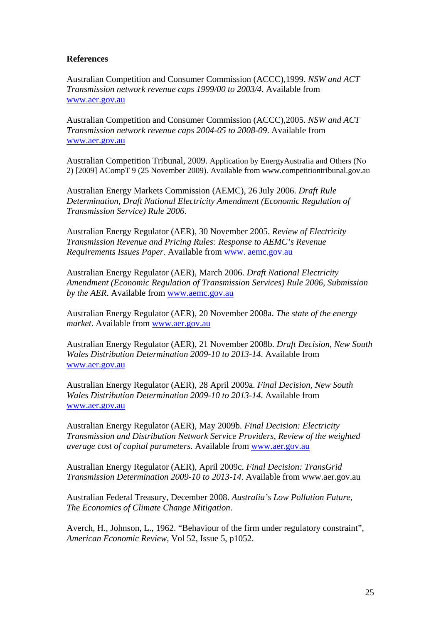#### **References**

Australian Competition and Consumer Commission (ACCC),1999. *NSW and ACT Transmission network revenue caps 1999/00 to 2003/4*. Available from [www.aer.gov.au](http://www.aer.gov.au/) 

Australian Competition and Consumer Commission (ACCC),2005. *NSW and ACT Transmission network revenue caps 2004-05 to 2008-09*. Available from [www.aer.gov.au](http://www.aer.gov.au/)

Australian Competition Tribunal, 2009. Application by EnergyAustralia and Others (No 2) [2009] ACompT 9 (25 November 2009). Available from www.competitiontribunal.gov.au

Australian Energy Markets Commission (AEMC), 26 July 2006. *Draft Rule Determination, Draft National Electricity Amendment (Economic Regulation of Transmission Service) Rule 2006*.

Australian Energy Regulator (AER), 30 November 2005. *Review of Electricity Transmission Revenue and Pricing Rules: Response to AEMC's Revenue Requirements Issues Paper*. Available from [www. aemc.gov.au](http://www.aer.gov.au/)

Australian Energy Regulator (AER), March 2006. *Draft National Electricity Amendment (Economic Regulation of Transmission Services) Rule 2006, Submission by the AER*. Available from [www.aemc.gov.au](http://www.aer.gov.au/) 

Australian Energy Regulator (AER), 20 November 2008a. *The state of the energy market*. Available from [www.aer.gov.au](http://www.aer.gov.au/)

Australian Energy Regulator (AER), 21 November 2008b. *Draft Decision, New South Wales Distribution Determination 2009-10 to 2013-14*. Available from [www.aer.gov.au](http://www.aer.gov.au/)

Australian Energy Regulator (AER), 28 April 2009a. *Final Decision, New South Wales Distribution Determination 2009-10 to 2013-14*. Available from [www.aer.gov.au](http://www.aer.gov.au/) 

Australian Energy Regulator (AER), May 2009b. *Final Decision: Electricity Transmission and Distribution Network Service Providers, Review of the weighted average cost of capital parameters*. Available from [www.aer.gov.au](http://www.aer.gov.au/)

Australian Energy Regulator (AER), April 2009c. *Final Decision: TransGrid Transmission Determination 2009-10 to 2013-14*. Available from www.aer.gov.au

Australian Federal Treasury, December 2008. *Australia's Low Pollution Future, The Economics of Climate Change Mitigation*.

Averch, H., Johnson, L., 1962. "Behaviour of the firm under regulatory constraint", *American Economic Review*, Vol 52, Issue 5, p1052.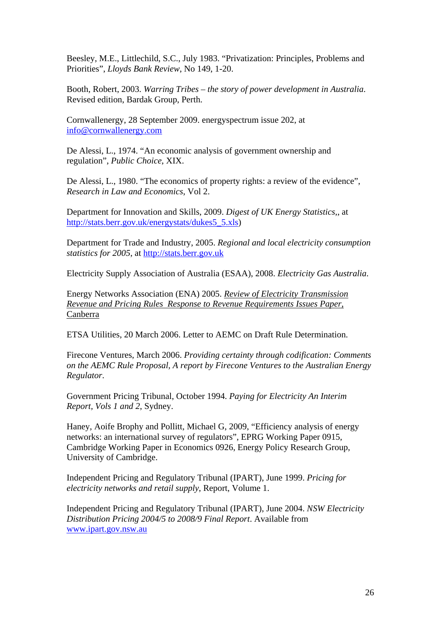Beesley, M.E., Littlechild, S.C., July 1983. "Privatization: Principles, Problems and Priorities", *Lloyds Bank Review*, No 149, 1-20.

Booth, Robert, 2003. *Warring Tribes – the story of power development in Australia*. Revised edition, Bardak Group, Perth.

Cornwallenergy, 28 September 2009. energyspectrum issue 202, at [info@cornwallenergy.com](mailto:info@cornwallenergy.com)

De Alessi, L., 1974. "An economic analysis of government ownership and regulation", *Public Choice*, XIX.

De Alessi, L., 1980. "The economics of property rights: a review of the evidence", *Research in Law and Economics*, Vol 2.

Department for Innovation and Skills, 2009. *Digest of UK Energy Statistics*,, at [http://stats.berr.gov.uk/energystats/dukes5\\_5.xls\)](http://stats.berr.gov.uk/energystats/dukes5_5.xls)

Department for Trade and Industry, 2005. *Regional and local electricity consumption statistics for 2005*, at [http://stats.berr.gov.uk](http://stats.berr.gov.uk/) 

Electricity Supply Association of Australia (ESAA), 2008. *Electricity Gas Australia*.

Energy Networks Association (ENA) 2005. *Review of Electricity Transmission Revenue and Pricing Rules Response to Revenue Requirements Issues Paper*, Canberra

ETSA Utilities, 20 March 2006. Letter to AEMC on Draft Rule Determination.

Firecone Ventures, March 2006. *Providing certainty through codification: Comments on the AEMC Rule Proposal, A report by Firecone Ventures to the Australian Energy Regulator*.

Government Pricing Tribunal, October 1994. *Paying for Electricity An Interim Report, Vols 1 and 2*, Sydney.

Haney, Aoife Brophy and Pollitt, Michael G, 2009, "Efficiency analysis of energy networks: an international survey of regulators", EPRG Working Paper 0915, Cambridge Working Paper in Economics 0926, Energy Policy Research Group, University of Cambridge.

Independent Pricing and Regulatory Tribunal (IPART), June 1999. *Pricing for electricity networks and retail supply*, Report, Volume 1.

Independent Pricing and Regulatory Tribunal (IPART), June 2004. *NSW Electricity Distribution Pricing 2004/5 to 2008/9 Final Report*. Available from [www.ipart.gov.nsw.au](http://www.ipart.gov.nsw.au/)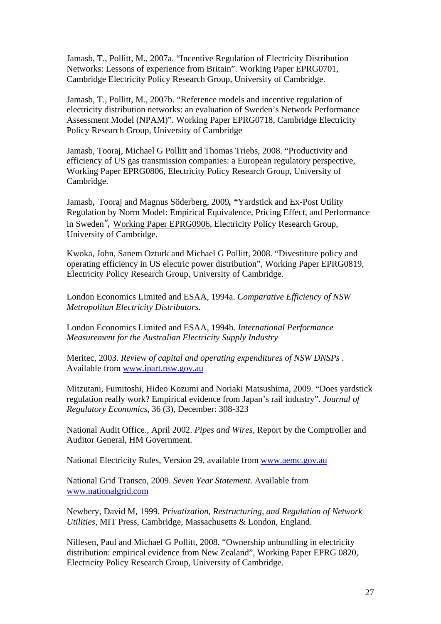Jamasb, T., Pollitt, M., 2007a. "Incentive Regulation of Electricity Distribution Networks: Lessons of experience from Britain". Working Paper EPRG0701, Cambridge Electricity Policy Research Group, University of Cambridge.

Jamasb, T., Pollitt, M., 2007b. "Reference models and incentive regulation of electricity distribution networks: an evaluation of Sweden's Network Performance Assessment Model (NPAM)". Working Paper EPRG0718, Cambridge Electricity Policy Research Group, University of Cambridge

Jamasb, Tooraj, Michael G Pollitt and Thomas Triebs, 2008. "Productivity and efficiency of US gas transmission companies: a European regulatory perspective, Working Paper EPRG0806, Electricity Policy Research Group, University of Cambridge.

Jamasb*,* Tooraj and Magnus Söderberg, 2009*, "*Yardstick and Ex-Post Utility Regulation by Norm Model: Empirical Equivalence, Pricing Effect, and Performance in Sweden*",* [Working Paper EPRG0906](http://www.eprg.group.cam.ac.uk/working-paper-eprg0906/), Electricity Policy Research Group, University of Cambridge.

Kwoka, John, Sanem Ozturk and Michael G Pollitt, 2008. "Divestiture policy and operating efficiency in US electric power distribution", Working Paper EPRG0819, Electricity Policy Research Group, University of Cambridge.

London Economics Limited and ESAA, 1994a. *Comparative Efficiency of NSW Metropolitan Electricity Distributors*.

London Economics Limited and ESAA, 1994b. *International Performance Measurement for the Australian Electricity Supply Industry*

Meritec, 2003. *Review of capital and operating expenditures of NSW DNSPs* . Available from [www.ipart.nsw.gov.au](http://www.ipart.nsw.gov.au/)

Mitzutani, Fumitoshi, Hideo Kozumi and Noriaki Matsushima, 2009. "Does yardstick regulation really work? Empirical evidence from Japan's rail industry". *Journal of Regulatory Economics*, 36 (3), December: 308-323

National Audit Office., April 2002. *Pipes and Wires*, Report by the Comptroller and Auditor General, HM Government.

National Electricity Rules, Version 29, available from [www.aemc.gov.au](http://www.aemc.gov.au/) 

National Grid Transco, 2009. *Seven Year Statement*. Available from [www.nationalgrid.com](http://www.nationalgrid.com/) 

Newbery, David M, 1999. *Privatization, Restructuring, and Regulation of Network Utilities*, MIT Press, Cambridge, Massachusetts & London, England.

Nillesen, Paul and Michael G Pollitt, 2008. "Ownership unbundling in electricity distribution: empirical evidence from New Zealand", Working Paper EPRG 0820, Electricity Policy Research Group, University of Cambridge.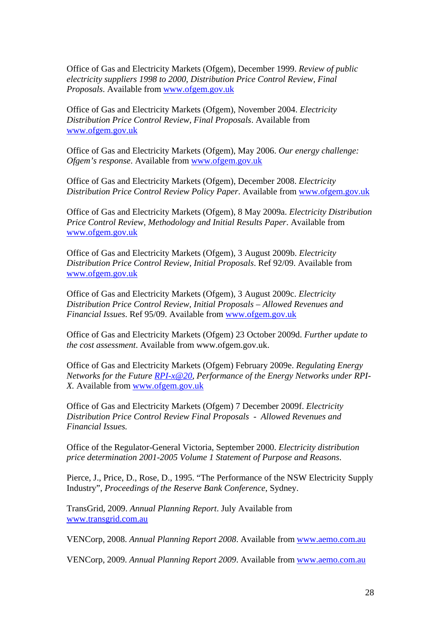Office of Gas and Electricity Markets (Ofgem), December 1999. *Review of public electricity suppliers 1998 to 2000, Distribution Price Control Review, Final Proposals*. Available from [www.ofgem.gov.uk](http://www.ofgem.gov.uk/)

Office of Gas and Electricity Markets (Ofgem), November 2004. *Electricity Distribution Price Control Review, Final Proposals*. Available from [www.ofgem.gov.uk](http://www.ofgem.gov.uk/) 

Office of Gas and Electricity Markets (Ofgem), May 2006. *Our energy challenge: Ofgem's response*. Available from www.ofgem.gov.uk

Office of Gas and Electricity Markets (Ofgem), December 2008. *Electricity Distribution Price Control Review Policy Paper*. Available from [www.ofgem.gov.uk](http://www.ofgem.gov.uk/)

Office of Gas and Electricity Markets (Ofgem), 8 May 2009a. *Electricity Distribution Price Control Review, Methodology and Initial Results Paper*. Available from [www.ofgem.gov.uk](http://www.ofgem.gov.uk/) 

Office of Gas and Electricity Markets (Ofgem), 3 August 2009b. *Electricity Distribution Price Control Review, Initial Proposals*. Ref 92/09. Available from [www.ofgem.gov.uk](http://www.ofgem.gov.uk/) 

Office of Gas and Electricity Markets (Ofgem), 3 August 2009c. *Electricity Distribution Price Control Review, Initial Proposals – Allowed Revenues and Financial Issues*. Ref 95/09. Available from [www.ofgem.gov.uk](http://www.ofgem.gov.uk/)

Office of Gas and Electricity Markets (Ofgem) 23 October 2009d. *Further update to the cost assessment*. Available from www.ofgem.gov.uk.

Office of Gas and Electricity Markets (Ofgem) February 2009e. *Regulating Energy Networks for the Future [RPI-x@20,](mailto:RPI-x@20) Performance of the Energy Networks under RPI-X.* Available from [www.ofgem.gov.uk](http://www.ofgem.gov.uk/)

Office of Gas and Electricity Markets (Ofgem) 7 December 2009f. *Electricity Distribution Price Control Review Final Proposals - Allowed Revenues and Financial Issues.*

Office of the Regulator-General Victoria, September 2000. *Electricity distribution price determination 2001-2005 Volume 1 Statement of Purpose and Reasons*.

Pierce, J., Price, D., Rose, D., 1995. "The Performance of the NSW Electricity Supply Industry", *Proceedings of the Reserve Bank Conference*, Sydney.

TransGrid, 2009. *Annual Planning Report*. July Available from [www.transgrid.com.au](http://www.transgrid.com.au/) 

VENCorp, 2008. *Annual Planning Report 2008*. Available from [www.aemo.com.au](http://www.aemo.com.au/) 

VENCorp, 2009. *Annual Planning Report 2009*. Available from [www.aemo.com.au](http://www.aemo.com.au/)